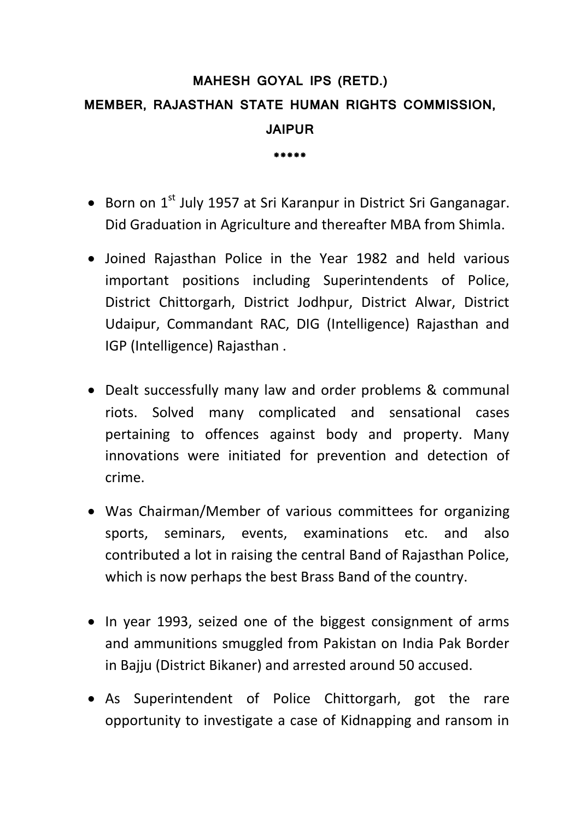## **MAHESH GOYAL IPS (RETD.) MEMBER, RAJASTHAN STATE HUMAN RIGHTS COMMISSION, JAIPUR**

**\*\*\*\*\***

- Born on 1<sup>st</sup> July 1957 at Sri Karanpur in District Sri Ganganagar. Did Graduation in Agriculture and thereafter MBA from Shimla.
- Joined Rajasthan Police in the Year 1982 and held various important positions including Superintendents of Police, District Chittorgarh, District Jodhpur, District Alwar, District Udaipur, Commandant RAC, DIG (Intelligence) Rajasthan and IGP (Intelligence) Rajasthan .
- Dealt successfully many law and order problems & communal riots. Solved many complicated and sensational cases pertaining to offences against body and property. Many innovations were initiated for prevention and detection of crime.
- Was Chairman/Member of various committees for organizing sports, seminars, events, examinations etc. and also contributed a lot in raising the central Band of Rajasthan Police, which is now perhaps the best Brass Band of the country.
- In year 1993, seized one of the biggest consignment of arms and ammunitions smuggled from Pakistan on India Pak Border in Bajju (District Bikaner) and arrested around 50 accused.
- As Superintendent of Police Chittorgarh, got the rare opportunity to investigate a case of Kidnapping and ransom in